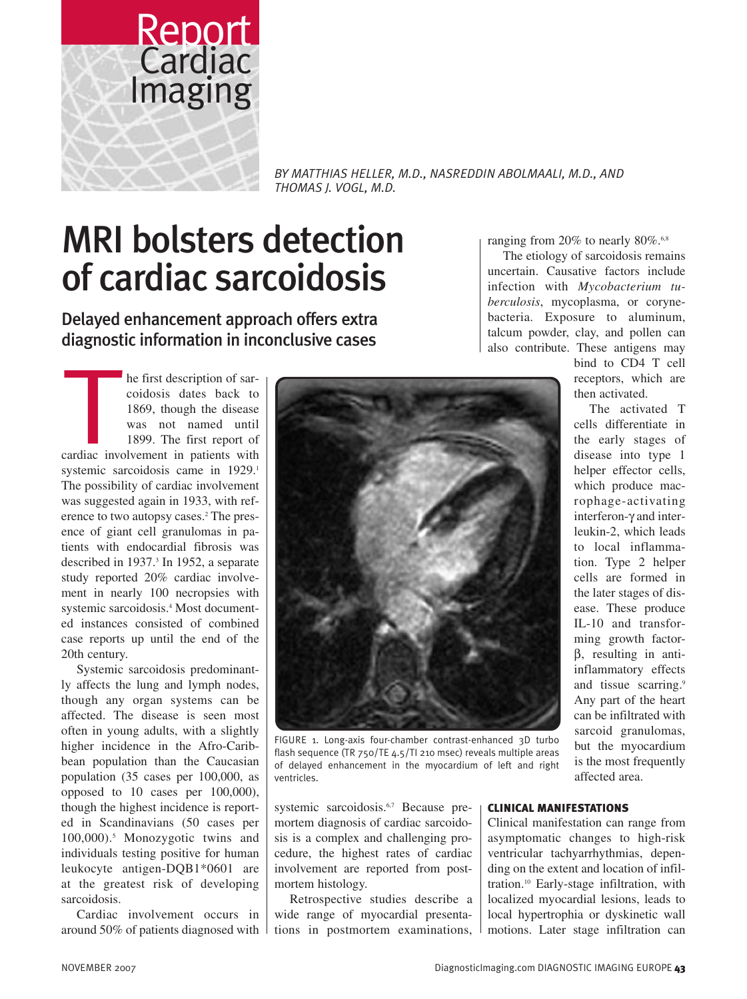

*BY MATTHIAS HELLER, M.D., NASREDDIN ABOLMAALI, M.D., AND THOMAS J. VOGL, M.D.*

# MRI bolsters detection of cardiac sarcoidosis

Delayed enhancement approach offers extra

Detayed emnancement approach oners extra<br>diagnostic information in inconclusive cases<br>he first description of sar-<br>coidosis dates back to<br>1869, though the disease<br>was not named until<br>1899. The first report of he first description of sarcoidosis dates back to 1869, though the disease was not named until 1899. The first report of cardiac involvement in patients with systemic sarcoidosis came in 1929.<sup>1</sup> The possibility of cardiac involvement was suggested again in 1933, with reference to two autopsy cases.<sup>2</sup> The presence of giant cell granulomas in patients with endocardial fibrosis was described in 1937.<sup>3</sup> In 1952, a separate study reported 20% cardiac involvement in nearly 100 necropsies with systemic sarcoidosis.4 Most documented instances consisted of combined case reports up until the end of the 20th century.

Systemic sarcoidosis predominantly affects the lung and lymph nodes, though any organ systems can be affected. The disease is seen most often in young adults, with a slightly higher incidence in the Afro-Caribbean population than the Caucasian population (35 cases per 100,000, as opposed to 10 cases per 100,000), though the highest incidence is reported in Scandinavians (50 cases per 100,000).5 Monozygotic twins and individuals testing positive for human leukocyte antigen-DQB1\*0601 are at the greatest risk of developing sarcoidosis.

Cardiac involvement occurs in around 50% of patients diagnosed with



FIGURE 1. Long-axis four-chamber contrast-enhanced 3D turbo flash sequence (TR 750/TE 4.5/TI 210 msec) reveals multiple areas of delayed enhancement in the myocardium of left and right ventricles.

systemic sarcoidosis.<sup>6,7</sup> Because premortem diagnosis of cardiac sarcoidosis is a complex and challenging procedure, the highest rates of cardiac involvement are reported from postmortem histology.

Retrospective studies describe a wide range of myocardial presentations in postmortem examinations,

ranging from 20% to nearly 80%.<sup>6,8</sup>

The etiology of sarcoidosis remains uncertain. Causative factors include infection with *Mycobacterium tuberculosis*, mycoplasma, or corynebacteria. Exposure to aluminum, talcum powder, clay, and pollen can also contribute. These antigens may

> bind to CD4 T cell receptors, which are then activated.

The activated T cells differentiate in the early stages of disease into type 1 helper effector cells, which produce macrophage-activating interferon-γ and interleukin-2, which leads to local inflammation. Type 2 helper cells are formed in the later stages of disease. These produce IL-10 and transforming growth factorβ, resulting in antiinflammatory effects and tissue scarring.<sup>9</sup> Any part of the heart can be infiltrated with sarcoid granulomas, but the myocardium is the most frequently affected area.

## **CLINICAL MANIFESTATIONS**

Clinical manifestation can range from asymptomatic changes to high-risk ventricular tachyarrhythmias, depending on the extent and location of infiltration.10 Early-stage infiltration, with localized myocardial lesions, leads to local hypertrophia or dyskinetic wall motions. Later stage infiltration can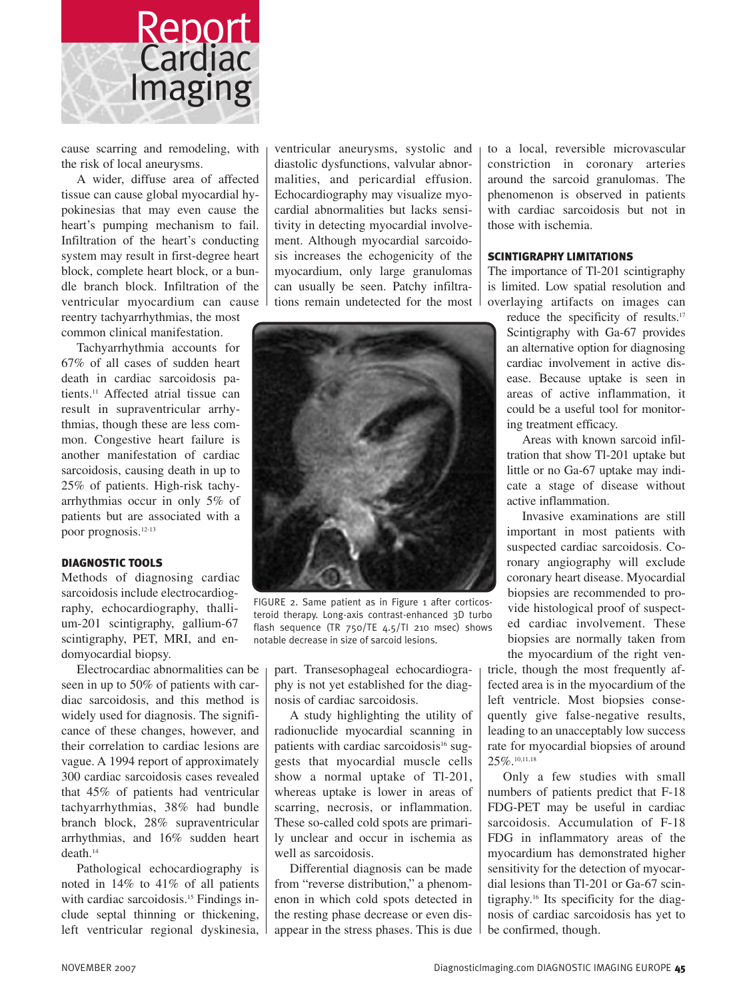

cause scarring and remodeling, with the risk of local aneurysms.

A wider, diffuse area of affected tissue can cause global myocardial hypokinesias that may even cause the heart's pumping mechanism to fail. Infiltration of the heart's conducting system may result in first-degree heart block, complete heart block, or a bundle branch block. Infiltration of the ventricular myocardium can cause

reentry tachyarrhythmias, the most common clinical manifestation.

Tachyarrhythmia accounts for 67% of all cases of sudden heart death in cardiac sarcoidosis patients.<sup>11</sup> Affected atrial tissue can result in supraventricular arrhythmias, though these are less common. Congestive heart failure is another manifestation of cardiac sarcoidosis, causing death in up to 25% of patients. High-risk tachyarrhythmias occur in only 5% of patients but are associated with a poor prognosis.12-13

#### **DIAGNOSTIC TOOLS**

Methods of diagnosing cardiac sarcoidosis include electrocardiography, echocardiography, thallium-201 scintigraphy, gallium-67 scintigraphy, PET, MRI, and endomyocardial biopsy.

Electrocardiac abnormalities can be seen in up to 50% of patients with cardiac sarcoidosis, and this method is widely used for diagnosis. The significance of these changes, however, and their correlation to cardiac lesions are vague. A 1994 report of approximately 300 cardiac sarcoidosis cases revealed that 45% of patients had ventricular tachyarrhythmias, 38% had bundle branch block, 28% supraventricular arrhythmias, and 16% sudden heart death.<sup>14</sup>

Pathological echocardiography is noted in 14% to 41% of all patients with cardiac sarcoidosis.<sup>15</sup> Findings include septal thinning or thickening, left ventricular regional dyskinesia,

ventricular aneurysms, systolic and diastolic dysfunctions, valvular abnormalities, and pericardial effusion. Echocardiography may visualize myocardial abnormalities but lacks sensitivity in detecting myocardial involvement. Although myocardial sarcoidosis increases the echogenicity of the myocardium, only large granulomas can usually be seen. Patchy infiltrations remain undetected for the most



FIGURE 2. Same patient as in Figure 1 after corticosteroid therapy. Long-axis contrast-enhanced 3D turbo flash sequence (TR 750/TE 4.5/TI 210 msec) shows notable decrease in size of sarcoid lesions.

part. Transesophageal echocardiography is not yet established for the diagnosis of cardiac sarcoidosis.

A study highlighting the utility of radionuclide myocardial scanning in patients with cardiac sarcoidosis<sup>16</sup> suggests that myocardial muscle cells show a normal uptake of Tl-201, whereas uptake is lower in areas of scarring, necrosis, or inflammation. These so-called cold spots are primarily unclear and occur in ischemia as well as sarcoidosis.

Differential diagnosis can be made from "reverse distribution," a phenomenon in which cold spots detected in the resting phase decrease or even disappear in the stress phases. This is due

to a local, reversible microvascular constriction in coronary arteries around the sarcoid granulomas. The phenomenon is observed in patients with cardiac sarcoidosis but not in those with ischemia.

#### **SCINTIGRAPHY LIMITATIONS**

The importance of Tl-201 scintigraphy is limited. Low spatial resolution and overlaying artifacts on images can

reduce the specificity of results.<sup>17</sup> Scintigraphy with Ga-67 provides an alternative option for diagnosing cardiac involvement in active disease. Because uptake is seen in areas of active inflammation, it could be a useful tool for monitoring treatment efficacy.

Areas with known sarcoid infiltration that show Tl-201 uptake but little or no Ga-67 uptake may indicate a stage of disease without active inflammation.

Invasive examinations are still important in most patients with suspected cardiac sarcoidosis. Coronary angiography will exclude coronary heart disease. Myocardial biopsies are recommended to provide histological proof of suspected cardiac involvement. These biopsies are normally taken from the myocardium of the right ventricle, though the most frequently affected area is in the myocardium of the

left ventricle. Most biopsies consequently give false-negative results, leading to an unacceptably low success rate for myocardial biopsies of around 25%.10,11,18

Only a few studies with small numbers of patients predict that F-18 FDG-PET may be useful in cardiac sarcoidosis. Accumulation of F-18 FDG in inflammatory areas of the myocardium has demonstrated higher sensitivity for the detection of myocardial lesions than Tl-201 or Ga-67 scintigraphy.16 Its specificity for the diagnosis of cardiac sarcoidosis has yet to be confirmed, though.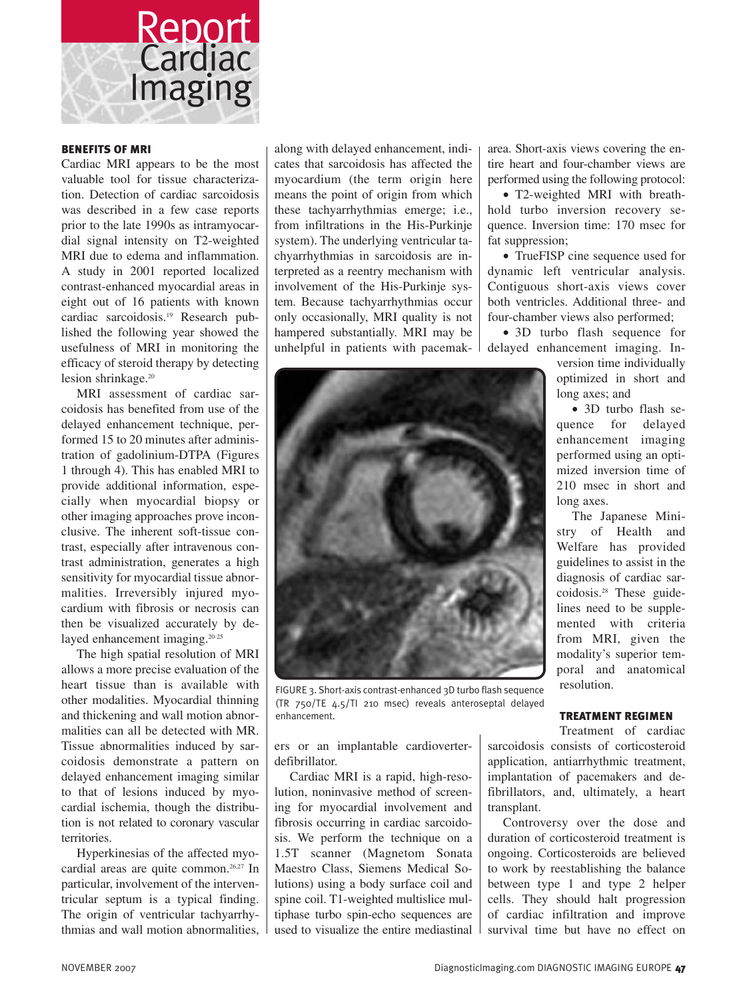

## **BENEFITS OF MRI**

Cardiac MRI appears to be the most valuable tool for tissue characterization. Detection of cardiac sarcoidosis was described in a few case reports prior to the late 1990s as intramyocardial signal intensity on T2-weighted MRI due to edema and inflammation. A study in 2001 reported localized contrast-enhanced myocardial areas in eight out of 16 patients with known cardiac sarcoidosis.19 Research published the following year showed the usefulness of MRI in monitoring the efficacy of steroid therapy by detecting lesion shrinkage.<sup>20</sup>

MRI assessment of cardiac sarcoidosis has benefited from use of the delayed enhancement technique, performed 15 to 20 minutes after administration of gadolinium-DTPA (Figures 1 through 4). This has enabled MRI to provide additional information, especially when myocardial biopsy or other imaging approaches prove inconclusive. The inherent soft-tissue contrast, especially after intravenous contrast administration, generates a high sensitivity for myocardial tissue abnormalities. Irreversibly injured myocardium with fibrosis or necrosis can then be visualized accurately by delayed enhancement imaging.<sup>20-25</sup>

The high spatial resolution of MRI allows a more precise evaluation of the heart tissue than is available with other modalities. Myocardial thinning and thickening and wall motion abnormalities can all be detected with MR. Tissue abnormalities induced by sarcoidosis demonstrate a pattern on delayed enhancement imaging similar to that of lesions induced by myocardial ischemia, though the distribution is not related to coronary vascular territories.

Hyperkinesias of the affected myocardial areas are quite common.<sup>26,27</sup> In particular, involvement of the interventricular septum is a typical finding. The origin of ventricular tachyarrhythmias and wall motion abnormalities,

along with delayed enhancement, indicates that sarcoidosis has affected the myocardium (the term origin here means the point of origin from which these tachyarrhythmias emerge; i.e., from infiltrations in the His-Purkinje system). The underlying ventricular tachyarrhythmias in sarcoidosis are interpreted as a reentry mechanism with involvement of the His-Purkinje system. Because tachyarrhythmias occur only occasionally, MRI quality is not hampered substantially. MRI may be unhelpful in patients with pacemakarea. Short-axis views covering the entire heart and four-chamber views are performed using the following protocol:

• T2-weighted MRI with breathhold turbo inversion recovery sequence. Inversion time: 170 msec for fat suppression;

• TrueFISP cine sequence used for dynamic left ventricular analysis. Contiguous short-axis views cover both ventricles. Additional three- and four-chamber views also performed;

• 3D turbo flash sequence for delayed enhancement imaging. In-

> version time individually optimized in short and long axes; and

> • 3D turbo flash sequence for delayed enhancement imaging performed using an optimized inversion time of 210 msec in short and long axes.

> The Japanese Ministry of Health and Welfare has provided guidelines to assist in the diagnosis of cardiac sar- $\text{coidosis.}^{28}$  These guidelines need to be supplemented with criteria from MRI, given the modality's superior temporal and anatomical resolution.

#### **TREATMENT REGIMEN**

ers or an implantable cardioverterdefibrillator.

enhancement.

FIGURE 3. Short-axis contrast-enhanced 3D turbo flash sequence (TR 750/TE 4.5/TI 210 msec) reveals anteroseptal delayed

Cardiac MRI is a rapid, high-resolution, noninvasive method of screening for myocardial involvement and fibrosis occurring in cardiac sarcoidosis. We perform the technique on a 1.5T scanner (Magnetom Sonata Maestro Class, Siemens Medical Solutions) using a body surface coil and spine coil. T1-weighted multislice multiphase turbo spin-echo sequences are used to visualize the entire mediastinal

Treatment of cardiac sarcoidosis consists of corticosteroid application, antiarrhythmic treatment, implantation of pacemakers and defibrillators, and, ultimately, a heart transplant.

Controversy over the dose and duration of corticosteroid treatment is ongoing. Corticosteroids are believed to work by reestablishing the balance between type 1 and type 2 helper cells. They should halt progression of cardiac infiltration and improve survival time but have no effect on